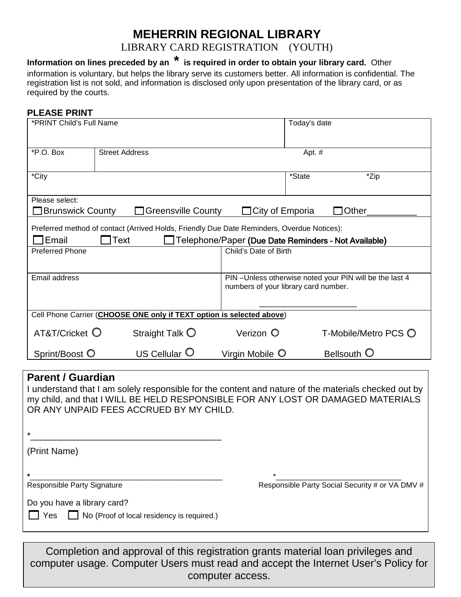## **MEHERRIN REGIONAL LIBRARY**

LIBRARY CARD REGISTRATION (YOUTH)

**Information on lines preceded by an \* is required in order to obtain your library card.** Other information is voluntary, but helps the library serve its customers better. All information is confidential. The registration list is not sold, and information is disclosed only upon presentation of the library card, or as required by the courts.

## **PLEASE PRINT**

| *PRINT Child's Full Name                                                                                                                                                                                                                                       |                       |                          |                                                                                                | Today's date |                      |
|----------------------------------------------------------------------------------------------------------------------------------------------------------------------------------------------------------------------------------------------------------------|-----------------------|--------------------------|------------------------------------------------------------------------------------------------|--------------|----------------------|
| *P.O. Box                                                                                                                                                                                                                                                      | <b>Street Address</b> |                          |                                                                                                | Apt. #       |                      |
| *City                                                                                                                                                                                                                                                          |                       |                          |                                                                                                | *State       | *Zip                 |
| Please select:<br>□ Brunswick County<br>□ Greensville County<br>$\Box$ City of Emporia<br>Other                                                                                                                                                                |                       |                          |                                                                                                |              |                      |
| Preferred method of contact (Arrived Holds, Friendly Due Date Reminders, Overdue Notices):<br>7Email<br>Text<br>Telephone/Paper (Due Date Reminders - Not Available)                                                                                           |                       |                          |                                                                                                |              |                      |
| <b>Preferred Phone</b><br>Child's Date of Birth                                                                                                                                                                                                                |                       |                          |                                                                                                |              |                      |
| <b>Email address</b>                                                                                                                                                                                                                                           |                       |                          | PIN-Unless otherwise noted your PIN will be the last 4<br>numbers of your library card number. |              |                      |
| Cell Phone Carrier (CHOOSE ONE only if TEXT option is selected above)                                                                                                                                                                                          |                       |                          |                                                                                                |              |                      |
| $AT&T/C$ ricket $\bigcirc$                                                                                                                                                                                                                                     |                       | Straight Talk $\bigcirc$ | Verizon O                                                                                      |              | T-Mobile/Metro PCS ○ |
| Sprint/Boost O                                                                                                                                                                                                                                                 |                       | US Cellular O            | Virgin Mobile O                                                                                |              | Bellsouth O          |
| <b>Parent / Guardian</b><br>I understand that I am solely responsible for the content and nature of the materials checked out by<br>my child, and that I WILL BE HELD RESPONSIBLE FOR ANY LOST OR DAMAGED MATERIALS<br>OR ANY UNPAID FEES ACCRUED BY MY CHILD. |                       |                          |                                                                                                |              |                      |

(Print Name)

**\***\_\_\_\_\_\_\_\_\_\_\_\_\_\_\_\_\_\_\_\_\_\_\_\_\_\_\_\_\_\_\_\_\_\_\_\_\_\_\_\_\_\_\_\_\_\_ \*\_\_\_\_\_\_\_\_\_\_\_\_\_\_\_\_\_\_\_\_\_\_\_\_\_\_\_\_\_\_ Responsible Party Signature **Responsible Party Social Security # or VA DMV #** 

Do you have a library card?

 $\Box$  Yes  $\Box$  No (Proof of local residency is required.)

\*\_\_\_\_\_\_\_\_\_\_\_\_\_\_\_\_\_\_\_\_\_\_\_\_\_\_\_\_\_\_\_\_\_\_\_\_\_\_

Completion and approval of this registration grants material loan privileges and computer usage. Computer Users must read and accept the Internet User's Policy for computer access.